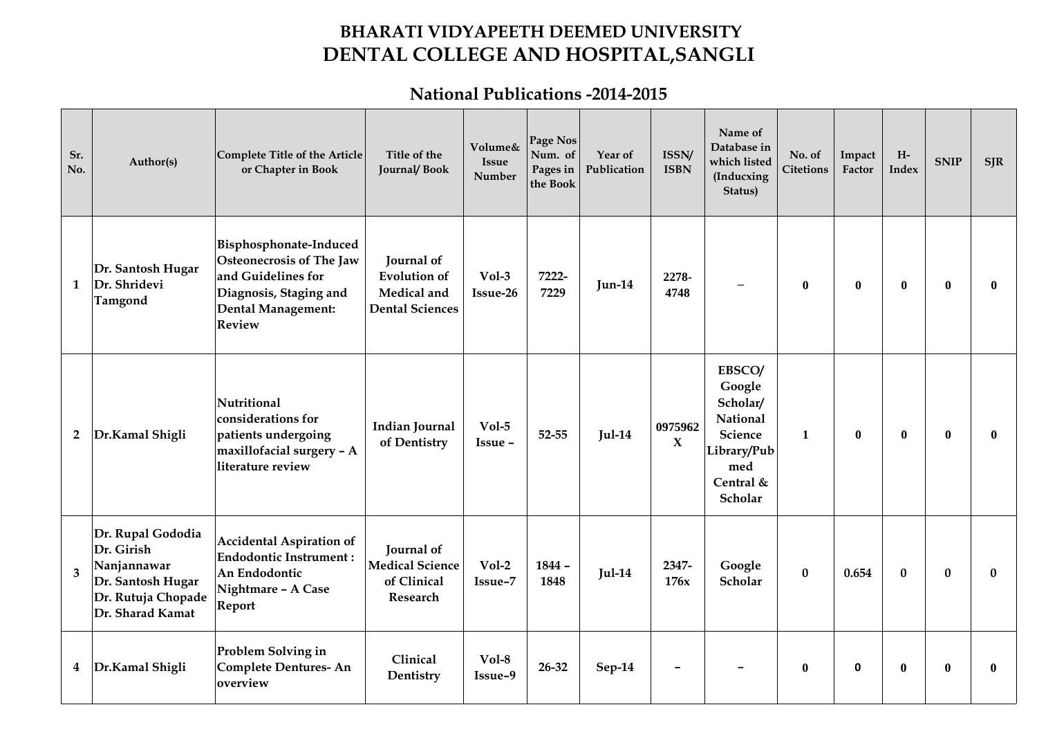## **BHARATI VIDYAPEETH DEEMED UNIVERSITY DENTAL COLLEGE AND HOSPITAL,SANGLI**

## **National Publications -2014-2015**

| Sr.<br>No.     | Author(s)                                                                                                     | Complete Title of the Article<br>or Chapter in Book                                                                                                     | Title of the<br><b>Journal/Book</b>                                        | Volume&<br><b>Issue</b><br>Number | Page Nos<br>Num. of<br>Pages in<br>the Book | Year of<br>Publication | ISSN/<br><b>ISBN</b>    | Name of<br>Database in<br>which listed<br>(Inducxing<br>Status)                                   | No. of<br><b>Citetions</b> | Impact<br>Factor | $\rm H\text{-}$<br>Index | <b>SNIP</b>  | <b>SJR</b>   |
|----------------|---------------------------------------------------------------------------------------------------------------|---------------------------------------------------------------------------------------------------------------------------------------------------------|----------------------------------------------------------------------------|-----------------------------------|---------------------------------------------|------------------------|-------------------------|---------------------------------------------------------------------------------------------------|----------------------------|------------------|--------------------------|--------------|--------------|
| $\mathbf{1}$   | Dr. Santosh Hugar<br>Dr. Shridevi<br>Tamgond                                                                  | Bisphosphonate-Induced<br><b>Osteonecrosis of The Jaw</b><br>and Guidelines for<br>Diagnosis, Staging and<br><b>Dental Management:</b><br><b>Review</b> | Journal of<br><b>Evolution of</b><br>Medical and<br><b>Dental Sciences</b> | $Vol-3$<br>Issue-26               | 7222-<br>7229                               | $Jun-14$               | 2278-<br>4748           | $\qquad \qquad$                                                                                   | $\bf{0}$                   | $\bf{0}$         | $\bf{0}$                 | $\mathbf{0}$ | $\bf{0}$     |
| $\overline{2}$ | Dr.Kamal Shigli                                                                                               | Nutritional<br>considerations for<br>patients undergoing<br>maxillofacial surgery - A<br>literature review                                              | <b>Indian Journal</b><br>of Dentistry                                      | $Vol-5$<br>Issue -                | 52-55                                       | $Jul-14$               | 0975962<br>$\mathbf{X}$ | EBSCO/<br>Google<br>Scholar/<br>National<br>Science<br>Library/Pub<br>med<br>Central &<br>Scholar | $\mathbf{1}$               | $\mathbf{0}$     | $\bf{0}$                 | $\bf{0}$     | $\mathbf{0}$ |
| 3              | Dr. Rupal Gododia<br>Dr. Girish<br>Nanjannawar<br>Dr. Santosh Hugar<br>Dr. Rutuja Chopade<br>Dr. Sharad Kamat | <b>Accidental Aspiration of</b><br><b>Endodontic Instrument:</b><br>An Endodontic<br>Nightmare - A Case<br>Report                                       | Journal of<br><b>Medical Science</b><br>of Clinical<br>Research            | $Vol-2$<br>Issue-7                | 1844 -<br>1848                              | $Jul-14$               | 2347-<br>176x           | Google<br><b>Scholar</b>                                                                          | $\bf{0}$                   | 0.654            | $\bf{0}$                 | $\bf{0}$     | $\mathbf{0}$ |
| 4              | Dr.Kamal Shigli                                                                                               | Problem Solving in<br><b>Complete Dentures-An</b><br>overview                                                                                           | Clinical<br>Dentistry                                                      | $Vol-8$<br>Issue-9                | $26 - 32$                                   | $Sep-14$               |                         |                                                                                                   | $\bf{0}$                   | $\mathbf 0$      | $\mathbf{0}$             | $\mathbf{0}$ | $\mathbf{0}$ |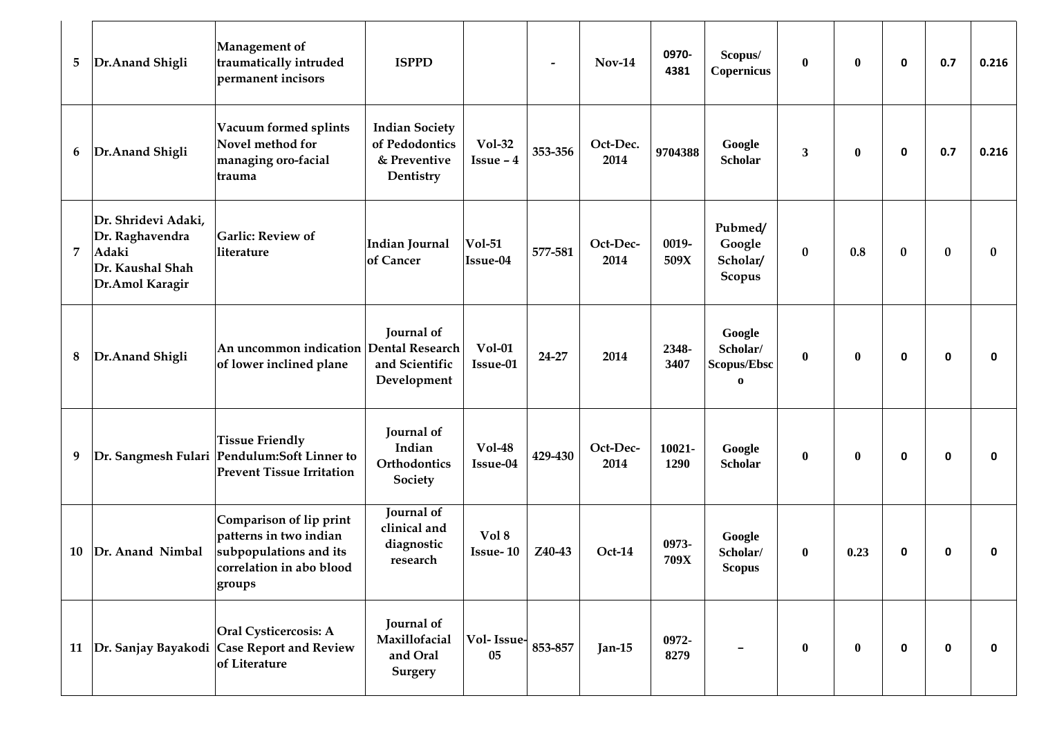| 5  | Dr.Anand Shigli                                                                        | <b>Management</b> of<br>traumatically intruded<br>permanent incisors                                              | <b>ISPPD</b>                                                         |                              |         | $Nov-14$         | 0970-<br>4381  | Scopus/<br>Copernicus                         | $\bf{0}$     | $\bf{0}$         | 0           | 0.7         | 0.216 |
|----|----------------------------------------------------------------------------------------|-------------------------------------------------------------------------------------------------------------------|----------------------------------------------------------------------|------------------------------|---------|------------------|----------------|-----------------------------------------------|--------------|------------------|-------------|-------------|-------|
| 6  | Dr.Anand Shigli                                                                        | Vacuum formed splints<br>Novel method for<br>managing oro-facial<br>trauma                                        | <b>Indian Society</b><br>of Pedodontics<br>& Preventive<br>Dentistry | <b>Vol-32</b><br>$Issue - 4$ | 353-356 | Oct-Dec.<br>2014 | 9704388        | Google<br><b>Scholar</b>                      | $\mathbf{3}$ | $\boldsymbol{0}$ | $\mathbf 0$ | 0.7         | 0.216 |
| 7  | Dr. Shridevi Adaki,<br>Dr. Raghavendra<br>Adaki<br>Dr. Kaushal Shah<br>Dr.Amol Karagir | <b>Garlic: Review of</b><br>literature                                                                            | <b>Indian Journal</b><br>of Cancer                                   | <b>Vol-51</b><br>Issue-04    | 577-581 | Oct-Dec-<br>2014 | 0019-<br>509X  | Pubmed/<br>Google<br>Scholar/<br>Scopus       | $\bf{0}$     | 0.8              | $\bf{0}$    | $\bf{0}$    | 0     |
| 8  | Dr.Anand Shigli                                                                        | An uncommon indication Dental Research<br>of lower inclined plane                                                 | Journal of<br>and Scientific<br>Development                          | <b>Vol-01</b><br>Issue-01    | 24-27   | 2014             | 2348-<br>3407  | Google<br>Scholar/<br>Scopus/Ebsc<br>$\bf{0}$ | $\bf{0}$     | $\bf{0}$         | 0           | $\mathbf 0$ | 0     |
| 9  |                                                                                        | <b>Tissue Friendly</b><br>Dr. Sangmesh Fulari Pendulum:Soft Linner to<br><b>Prevent Tissue Irritation</b>         | Journal of<br>Indian<br>Orthodontics<br>Society                      | <b>Vol-48</b><br>Issue-04    | 429-430 | Oct-Dec-<br>2014 | 10021-<br>1290 | Google<br><b>Scholar</b>                      | $\bf{0}$     | $\bf{0}$         | 0           | $\mathbf 0$ | 0     |
| 10 | Dr. Anand Nimbal                                                                       | Comparison of lip print<br>patterns in two indian<br>subpopulations and its<br>correlation in abo blood<br>groups | Journal of<br>clinical and<br>diagnostic<br>research                 | Vol 8<br><b>Issue-10</b>     | Z40-43  | Oct-14           | 0973-<br>709X  | Google<br>Scholar/<br><b>Scopus</b>           | $\bf{0}$     | 0.23             | 0           | 0           | 0     |
|    |                                                                                        | Oral Cysticercosis: A<br>11   Dr. Sanjay Bayakodi   Case Report and Review<br>of Literature                       | Journal of<br>Maxillofacial<br>and Oral<br><b>Surgery</b>            | Vol-Issue-<br>05             | 853-857 | Jan-15           | 0972-<br>8279  |                                               | $\bf{0}$     | $\bf{0}$         | $\mathbf 0$ | $\mathbf 0$ | 0     |